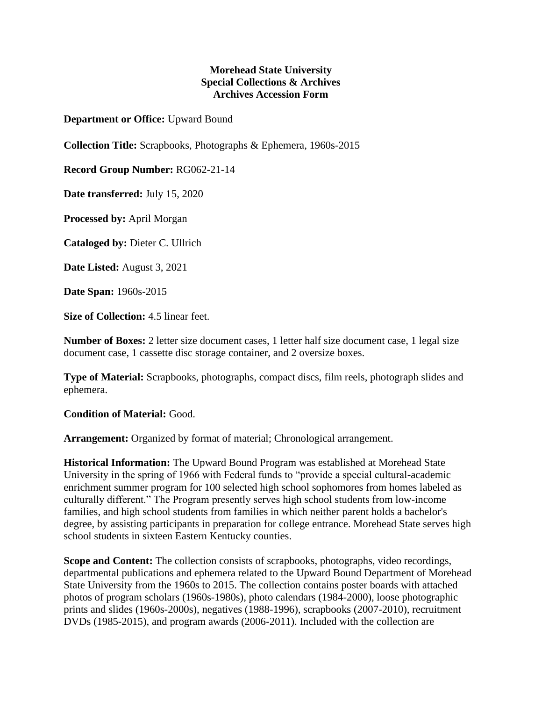## **Morehead State University Special Collections & Archives Archives Accession Form**

**Department or Office:** Upward Bound

**Collection Title:** Scrapbooks, Photographs & Ephemera, 1960s-2015

**Record Group Number:** RG062-21-14

**Date transferred:** July 15, 2020

**Processed by:** April Morgan

**Cataloged by:** Dieter C. Ullrich

**Date Listed:** August 3, 2021

**Date Span:** 1960s-2015

**Size of Collection:** 4.5 linear feet.

**Number of Boxes:** 2 letter size document cases, 1 letter half size document case, 1 legal size document case, 1 cassette disc storage container, and 2 oversize boxes.

**Type of Material:** Scrapbooks, photographs, compact discs, film reels, photograph slides and ephemera.

**Condition of Material:** Good.

**Arrangement:** Organized by format of material; Chronological arrangement.

**Historical Information:** The Upward Bound Program was established at Morehead State University in the spring of 1966 with Federal funds to "provide a special cultural-academic enrichment summer program for 100 selected high school sophomores from homes labeled as culturally different." The Program presently serves high school students from low-income families, and high school students from families in which neither parent holds a bachelor's degree, by assisting participants in preparation for college entrance. Morehead State serves high school students in sixteen Eastern Kentucky counties.

**Scope and Content:** The collection consists of scrapbooks, photographs, video recordings, departmental publications and ephemera related to the Upward Bound Department of Morehead State University from the 1960s to 2015. The collection contains poster boards with attached photos of program scholars (1960s-1980s), photo calendars (1984-2000), loose photographic prints and slides (1960s-2000s), negatives (1988-1996), scrapbooks (2007-2010), recruitment DVDs (1985-2015), and program awards (2006-2011). Included with the collection are